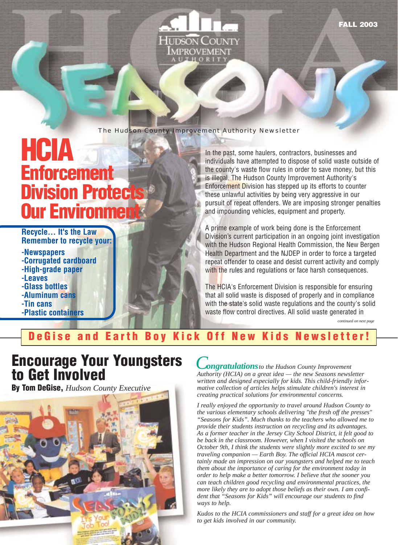**MPROVEMENT UTHORI** 

**I IDSON C** 

#### The Hudson County Improvement Authority Newsletter

# **HCIA Enforcement Division Protects Our Environment**

**Recycle… It's the Law Remember to recycle your:**

- **-Newspapers -Corrugated cardboard -High-grade paper -Leaves -Glass bottles -Aluminum cans -Tin cans**
- **-Plastic containers**

In the past, some haulers, contractors, businesses and individuals have attempted to dispose of solid waste outside of the county's waste flow rules in order to save money, but this is illegal. The Hudson County Improvement Authority's Enforcement Division has stepped up its efforts to counter these unlawful activities by being very aggressive in our pursuit of repeat offenders. We are imposing stronger penalties and impounding vehicles, equipment and property.

A prime example of work being done is the Enforcement Division's current participation in an ongoing joint investigation with the Hudson Regional Health Commission, the New Bergen Health Department and the NJDEP in order to force a targeted repeat offender to cease and desist current activity and comply with the rules and regulations or face harsh consequences.

The HCIA's Enforcement Division is responsible for ensuring that all solid waste is disposed of properly and in compliance with the state's solid waste regulations and the county's solid waste flow control directives. All solid waste generated in

*continued on next page*

#### **DeGise and Earth Boy Kick Off New Kids Newsletter!**

## **Encourage Your Youngsters to Get Involved**

**By Tom DeGise,** *Hudson County Executive*



*Congratulationsto the Hudson County Improvement Authority (HCIA) on a great idea — the new Seasons newsletter written and designed especially for kids. This child-friendly informative collection of articles helps stimulate children's interest in creating practical solutions for environmental concerns.*

*I really enjoyed the opportunity to travel around Hudson County to the various elementary schools delivering "the fresh off the presses" "Seasons for Kids". Much thanks to the teachers who allowed me to provide their students instruction on recycling and its advantages. As a former teacher in the Jersey City School District, it felt good to be back in the classroom. However, when I visited the schools on October 9th, I think the students were slightly more excited to see my traveling companion — Earth Boy. The official HCIA mascot certainly made an impression on our youngsters and helped me to teach them about the importance of caring for the environment today in order to help make a better tomorrow. I believe that the sooner you can teach children good recycling and environmental practices, the more likely they are to adopt those beliefs as their own. I am confident that "Seasons for Kids" will encourage our students to find ways to help.* 

*Kudos to the HCIA commissioners and staff for a great idea on how to get kids involved in our community.*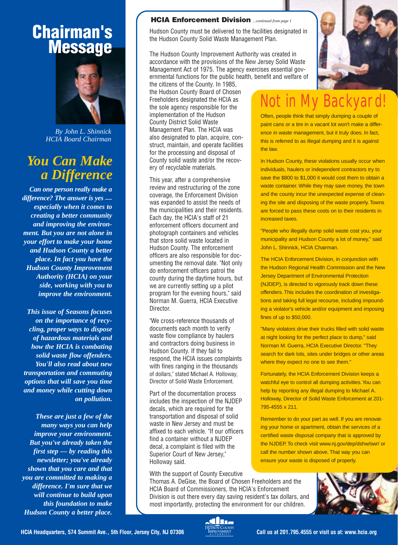## **Chairman's Message**



*By John L. Shinnick HCIA Board Chairman*

### *You Can Make a Difference*

*Can one person really make a difference? The answer is yes especially when it comes to creating a better community and improving the environment. But you are not alone in your effort to make your home and Hudson County a better place. In fact you have the Hudson County Improvement Authority (HCIA) on your side, working with you to improve the environment.* 

*This issue of Seasons focuses on the importance of recycling, proper ways to dispose of hazardous materials and how the HCIA is combating solid waste flow offenders. You'll also read about new transportation and commuting options that will save you time and money while cutting down on pollution.*

*These are just a few of the many ways you can help improve your environment. But you've already taken the first step — by reading this newsletter; you've already shown that you care and that you are committed to making a difference. I'm sure that we will continue to build upon this foundation to make Hudson County a better place.* 

#### **HCIA Enforcement Division** *...continued from page 1*

Hudson County must be delivered to the facilities designated in the Hudson County Solid Waste Management Plan.

The Hudson County Improvement Authority was created in accordance with the provisions of the New Jersey Solid Waste Management Act of 1975. The agency exercises essential governmental functions for the public health, benefit and welfare of

the citizens of the County. In 1985, the Hudson County Board of Chosen Freeholders designated the HCIA as the sole agency responsible for the implementation of the Hudson County District Solid Waste Management Plan. The HCIA was also designated to plan, acquire, construct, maintain, and operate facilities for the processing and disposal of County solid waste and/or the recovery of recyclable materials.

This year, after a comprehensive review and restructuring of the zone coverage, the Enforcement Division was expanded to assist the needs of the municipalities and their residents. Each day, the HCIA's staff of 21 enforcement officers document and photograph containers and vehicles that store solid waste located in Hudson County. The enforcement officers are also responsible for documenting the removal date. "Not only do enforcement officers patrol the county during the daytime hours, but we are currently setting up a pilot program for the evening hours," said Norman M. Guerra, HCIA Executive Director.

"We cross-reference thousands of documents each month to verify waste flow compliance by haulers and contractors doing business in Hudson County. If they fail to respond, the HCIA issues complaints with fines ranging in the thousands of dollars," stated Michael A. Holloway, Director of Solid Waste Enforcement.

Part of the documentation process includes the inspection of the NJDEP decals, which are required for the transportation and disposal of solid waste in New Jersey and must be affixed to each vehicle. "If our officers find a container without a NJDEP decal, a complaint is filed with the Superior Court of New Jersey," Holloway said.

With the support of County Executive

Thomas A. DeGise, the Board of Chosen Freeholders and the HCIA Board of Commissioners, the HCIA's Enforcement Division is out there every day saving resident's tax dollars, and most importantly, protecting the environment for our children.



# Not in My Backvar

Often, people think that simply dumping a couple of paint cans or a tire in a vacant lot won't make a difference in waste management, but it truly does. In fact, this is referred to as illegal dumping and it is against the law.

In Hudson County, these violations usually occur when individuals, haulers or independent contractors try to save the \$800 to \$1,000 it would cost them to obtain a waste container. While they may save money, the town and the county incur the unexpected expense of cleaning the site and disposing of the waste properly. Towns are forced to pass these costs on to their residents in increased taxes.

"People who illegally dump solid waste cost you, your municipality and Hudson County a lot of money," said John L. Shinnick, HCIA Chairman.

The HCIA Enforcement Division, in conjunction with the Hudson Regional Health Commission and the New Jersey Department of Environmental Protection (NJDEP), is directed to vigorously track down these offenders. This includes the coordination of investigations and taking full legal recourse, including impounding a violator's vehicle and/or equipment and imposing fines of up to \$50,000.

"Many violators drive their trucks filled with solid waste at night looking for the perfect place to dump," said Norman M. Guerra, HCIA Executive Director. "They search for dark lots, sites under bridges or other areas where they expect no one to see them."

Fortunately, the HCIA Enforcement Division keeps a watchful eye to control all dumping activities. You can help by reporting any illegal dumping to Michael A. Holloway, Director of Solid Waste Enforcement at 201- 795-4555 x 211.

Remember to do your part as well. If you are renovating your home or apartment, obtain the services of a certified waste disposal company that is approved by the NJDEP. To check visit www.nj.gov/dep/dshw/swr/ or call the number shown above. That way you can ensure your waste is disposed of properly.





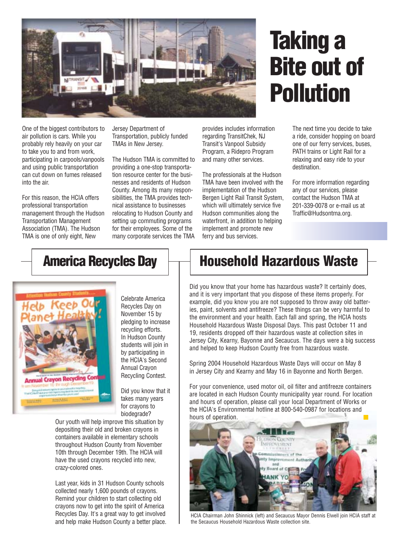

# **Taking a Bite out of Pollution**

One of the biggest contributors to air pollution is cars. While you probably rely heavily on your car to take you to and from work, participating in carpools/vanpools and using public transportation can cut down on fumes released into the air.

For this reason, the HCIA offers professional transportation management through the Hudson Transportation Management Association (TMA). The Hudson TMA is one of only eight, New

Jersey Department of Transportation, publicly funded TMAs in New Jersey.

The Hudson TMA is committed to providing a one-stop transportation resource center for the businesses and residents of Hudson County. Among its many responsibilities, the TMA provides technical assistance to businesses relocating to Hudson County and setting up commuting programs for their employees. Some of the many corporate services the TMA

provides includes information regarding TransitChek, NJ Transit's Vanpool Subsidy Program, a Ridepro Program and many other services.

The professionals at the Hudson TMA have been involved with the implementation of the Hudson Bergen Light Rail Transit System, which will ultimately service five Hudson communities along the waterfront, in addition to helping implement and promote new ferry and bus services.

The next time you decide to take a ride, consider hopping on board one of our ferry services, buses, PATH trains or Light Rail for a relaxing and easy ride to your destination.

For more information regarding any of our services, please contact the Hudson TMA at 201-339-0078 or e-mail us at Traffic@Hudsontma.org.

## **America Recycles Day**



Celebrate America Recycles Day on November 15 by pledging to increase recycling efforts. In Hudson County students will join in by participating in the HCIA's Second Annual Crayon Recycling Contest.

Did you know that it takes many years for crayons to biodegrade?

Our youth will help improve this situation by depositing their old and broken crayons in containers available in elementary schools throughout Hudson County from November 10th through December 19th. The HCIA will have the used crayons recycled into new, crazy-colored ones.

Last year, kids in 31 Hudson County schools collected nearly 1,600 pounds of crayons. Remind your children to start collecting old crayons now to get into the spirit of America Recycles Day. It's a great way to get involved and help make Hudson County a better place.

# **Household Hazardous Waste**

Did you know that your home has hazardous waste? It certainly does, and it is very important that you dispose of these items properly. For example, did you know you are not supposed to throw away old batteries, paint, solvents and antifreeze? These things can be very harmful to the environment and your health. Each fall and spring, the HCIA hosts Household Hazardous Waste Disposal Days. This past October 11 and 19, residents dropped off their hazardous waste at collection sites in Jersey City, Kearny, Bayonne and Secaucus. The days were a big success and helped to keep Hudson County free from hazardous waste.

Spring 2004 Household Hazardous Waste Days will occur on May 8 in Jersey City and Kearny and May 16 in Bayonne and North Bergen.

For your convenience, used motor oil, oil filter and antifreeze containers are located in each Hudson County municipality year round. For location and hours of operation, please call your local Department of Works or the HCIA's Environmental hotline at 800-540-0987 for locations and hours of operation.



HCIA Chairman John Shinnick (left) and Secaucus Mayor Dennis Elwell join HCIA staff at the Secaucus Household Hazardous Waste collection site.